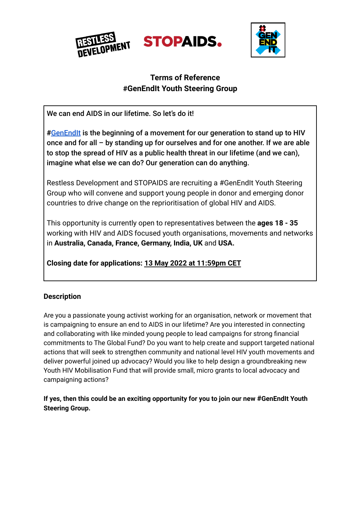





# **Terms of Reference #GenEndIt Youth Steering Group**

We can end AIDS in our lifetime. So let's do it!

**#**[GenEndIt](https://www.genendit.com/) is the beginning of a movement for our generation to stand up to HIV once and for all – by standing up for ourselves and for one another. If we are able to stop the spread of HIV as a public health threat in our lifetime (and we can), imagine what else we can do? Our generation can do anything.

Restless Development and STOPAIDS are recruiting a #GenEndIt Youth Steering Group who will convene and support young people in donor and emerging donor countries to drive change on the reprioritisation of global HIV and AIDS.

This opportunity is currently open to representatives between the **ages 18 - 35** working with HIV and AIDS focused youth organisations, movements and networks in **Australia, Canada, France, Germany, India, UK** and **USA.**

**Closing date for applications: 13 May 2022 at 11:59pm CET**

# **Description**

Are you a passionate young activist working for an organisation, network or movement that is campaigning to ensure an end to AIDS in our lifetime? Are you interested in connecting and collaborating with like minded young people to lead campaigns for strong financial commitments to The Global Fund? Do you want to help create and support targeted national actions that will seek to strengthen community and national level HIV youth movements and deliver powerful joined up advocacy? Would you like to help design a groundbreaking new Youth HIV Mobilisation Fund that will provide small, micro grants to local advocacy and campaigning actions?

**If yes, then this could be an exciting opportunity for you to join our new #GenEndIt Youth Steering Group.**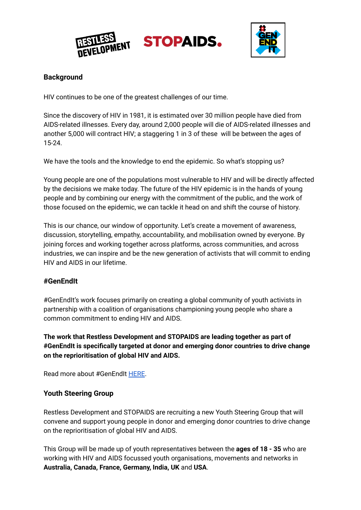

**STOPAIDS.** 



# **Background**

HIV continues to be one of the greatest challenges of our time.

Since the discovery of HIV in 1981, it is estimated over 30 million people have died from AIDS-related illnesses. Every day, around 2,000 people will die of AIDS-related illnesses and another 5,000 will contract HIV; a staggering 1 in 3 of these will be between the ages of 15-24.

We have the tools and the knowledge to end the epidemic. So what's stopping us?

Young people are one of the populations most vulnerable to HIV and will be directly affected by the decisions we make today. The future of the HIV epidemic is in the hands of young people and by combining our energy with the commitment of the public, and the work of those focused on the epidemic, we can tackle it head on and shift the course of history.

This is our chance, our window of opportunity. Let's create a movement of awareness, discussion, storytelling, empathy, accountability, and mobilisation owned by everyone. By joining forces and working together across platforms, across communities, and across industries, we can inspire and be the new generation of activists that will commit to ending HIV and AIDS in our lifetime.

### **#GenEndIt**

#GenEndIt's work focuses primarily on creating a global community of youth activists in partnership with a coalition of organisations championing young people who share a common commitment to ending HIV and AIDS.

**The work that Restless Development and STOPAIDS are leading together as part of #GenEndIt is specifically targeted at donor and emerging donor countries to drive change on the reprioritisation of global HIV and AIDS.**

Read more about #GenEndIt [HERE](https://www.genendit.com/about/).

### **Youth Steering Group**

Restless Development and STOPAIDS are recruiting a new Youth Steering Group that will convene and support young people in donor and emerging donor countries to drive change on the reprioritisation of global HIV and AIDS.

This Group will be made up of youth representatives between the **ages of 18 - 35** who are working with HIV and AIDS focussed youth organisations, movements and networks in **Australia, Canada, France, Germany, India, UK** and **USA**.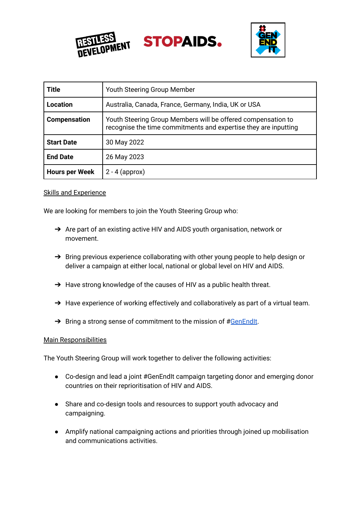





| <b>Title</b>          | Youth Steering Group Member                                                                                                     |
|-----------------------|---------------------------------------------------------------------------------------------------------------------------------|
| <b>Location</b>       | Australia, Canada, France, Germany, India, UK or USA                                                                            |
| <b>Compensation</b>   | Youth Steering Group Members will be offered compensation to<br>recognise the time commitments and expertise they are inputting |
| <b>Start Date</b>     | 30 May 2022                                                                                                                     |
| <b>End Date</b>       | 26 May 2023                                                                                                                     |
| <b>Hours per Week</b> | $2 - 4$ (approx)                                                                                                                |

#### Skills and Experience

We are looking for members to join the Youth Steering Group who:

- ➔ Are part of an existing active HIV and AIDS youth organisation, network or movement.
- → Bring previous experience collaborating with other young people to help design or deliver a campaign at either local, national or global level on HIV and AIDS.
- → Have strong knowledge of the causes of HIV as a public health threat.
- → Have experience of working effectively and collaboratively as part of a virtual team.
- $\rightarrow$  Bring a strong sense of commitment to the mission of #[GenEndIt](https://www.genendit.com/).

#### Main Responsibilities

The Youth Steering Group will work together to deliver the following activities:

- Co-design and lead a joint #GenEndIt campaign targeting donor and emerging donor countries on their reprioritisation of HIV and AIDS.
- Share and co-design tools and resources to support youth advocacy and campaigning.
- Amplify national campaigning actions and priorities through joined up mobilisation and communications activities.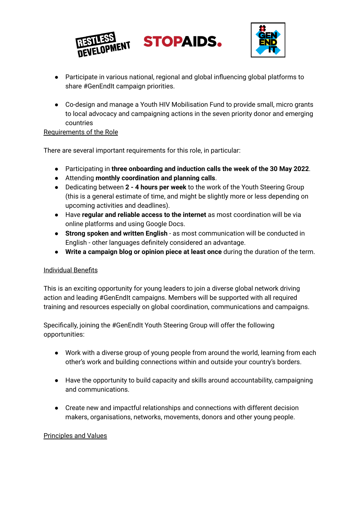



- Participate in various national, regional and global influencing global platforms to share #GenEndIt campaign priorities.
- Co-design and manage a Youth HIV Mobilisation Fund to provide small, micro grants to local advocacy and campaigning actions in the seven priority donor and emerging countries

### Requirements of the Role

There are several important requirements for this role, in particular:

- Participating in **three onboarding and induction calls the week of the 30 May 2022**.
- Attending **monthly coordination and planning calls**.
- Dedicating between **2 - 4 hours per week** to the work of the Youth Steering Group (this is a general estimate of time, and might be slightly more or less depending on upcoming activities and deadlines).
- Have **regular and reliable access to the internet** as most coordination will be via online platforms and using Google Docs.
- **Strong spoken and written English** as most communication will be conducted in English - other languages definitely considered an advantage.
- **Write a campaign blog or opinion piece at least once** during the duration of the term.

### Individual Benefits

This is an exciting opportunity for young leaders to join a diverse global network driving action and leading #GenEndIt campaigns. Members will be supported with all required training and resources especially on global coordination, communications and campaigns.

Specifically, joining the #GenEndIt Youth Steering Group will offer the following opportunities:

- Work with a diverse group of young people from around the world, learning from each other's work and building connections within and outside your country's borders.
- Have the opportunity to build capacity and skills around accountability, campaigning and communications.
- Create new and impactful relationships and connections with different decision makers, organisations, networks, movements, donors and other young people.

### Principles and Values